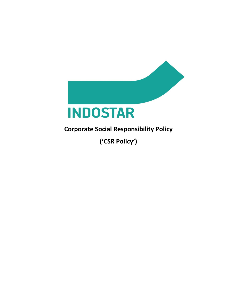

# **Corporate Social Responsibility Policy**

**('CSR Policy')**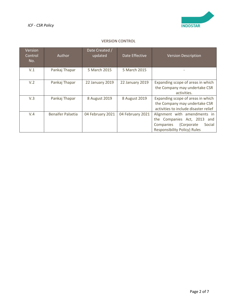

# **VERSION CONTROL**

| Version<br>Control<br>No. | Author                   | Date Created /<br>updated | Date Effective   | <b>Version Description</b>                                                                                                              |
|---------------------------|--------------------------|---------------------------|------------------|-----------------------------------------------------------------------------------------------------------------------------------------|
| V.1                       | Pankaj Thapar            | 5 March 2015              | 5 March 2015     |                                                                                                                                         |
| V.2                       | Pankaj Thapar            | 22 January 2019           | 22 January 2019  | Expanding scope of areas in which<br>the Company may undertake CSR<br>activities.                                                       |
| V.3                       | Pankaj Thapar            | 8 August 2019             | 8 August 2019    | Expanding scope of areas in which<br>the Company may undertake CSR<br>activities to include disaster relief                             |
| V.4                       | <b>Benaifer Palsetia</b> | 04 February 2021          | 04 February 2021 | Alignment with amendments in<br>the Companies Act, 2013 and<br>(Corporate<br>Social<br>Companies<br><b>Responsibility Policy) Rules</b> |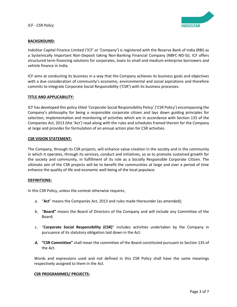

# **BACKGROUND:**

IndoStar Capital Finance Limited ('ICF' or 'Company') is registered with the Reserve Bank of India (RBI) as a Systemically Important Non-Deposit taking Non-Banking Financial Company (NBFC-ND-SI). ICF offers structured term financing solutions for corporates, loans to small and medium enterprise borrowers and vehicle finance in India.

ICF aims at conducting its business in a way that the Company achieves its business goals and objectives with a due consideration of community's economic, environmental and social aspirations and therefore commits to integrate Corporate Social Responsibility ('CSR') with its business processes.

## **TITLE AND APPLICABILITY:**

ICF has developed this policy titled 'Corporate Social Responsibility Policy' ('CSR Policy') encompassing the Company's philosophy for being a responsible corporate citizen and lays down guiding principles for selection, implementation and monitoring of activities which are in accordance with Section 135 of the Companies Act, 2013 (the 'Act') read along with the rules and schedules framed therein for the Company at large and provides for formulation of an annual action plan for CSR activities.

## **CSR VISION STATEMENT:**

The Company, through its CSR projects, will enhance value creation in the society and in the community in which it operates, through its services, conduct and initiatives, so as to promote sustained growth for the society and community, in fulfillment of its role as a Socially Responsible Corporate Citizen. The ultimate aim of the CSR projects will be to benefit the communities at large and over a period of time enhance the quality of life and economic well-being of the local populace.

## **DEFINITIONS:**

In this CSR Policy, unless the context otherwise requires,

- a. "**Act**" means the Companies Act, 2013 and rules made thereunder (as amended);
- b. "**Board"** means the Board of Directors of the Company and will include any Committee of the Board;
- c. "**Corporate Social Responsibility (CSR)**" includes activities undertaken by the Company in pursuance of its statutory obligation laid down in the Act.
- **d. "CSR Committee"** shall mean the committee of the Board constituted pursuant to Section 135 of the Act.

Words and expressions used and not defined in this CSR Policy shall have the same meanings respectively assigned to them in the Act.

## **CSR PROGRAMMES/ PROJECTS:**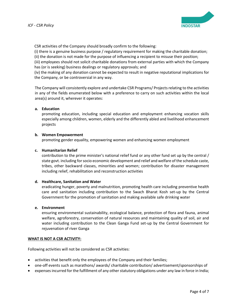

CSR activities of the Company should broadly confirm to the following:

(i) there is a genuine business purpose / regulatory requirement for making the charitable donation; (ii) the donation is not made for the purpose of influencing a recipient to misuse their position; (iii) employees should not solicit charitable donations from external parties with which the Company has (or is seeking) business dealings or regulatory approvals; and

(iv) the making of any donation cannot be expected to result in negative reputational implications for the Company, or be controversial in any way.

The Company will consistently explore and undertake CSR Programs/ Projectsrelating to the activities in any of the fields enumerated below with a preference to carry on such activities within the local area(s) around it, wherever it operates:

# **a. Education**

promoting education, including special education and employment enhancing vocation skills especially among children, women, elderly and the differently abled and livelihood enhancement projects

## **b. Women Empowerment**

promoting gender equality, empowering women and enhancing women employment

## **c. Humanitarian Relief**

contribution to the prime minister's national relief fund or any other fund set up by the central / state govt. including for socio economic development and relief and welfare of the schedule caste, tribes, other backward classes, minorities and women; contribution for disaster management including relief, rehabilitation and reconstruction activities

## **d. Healthcare, Sanitation and Water**

eradicating hunger, poverty and malnutrition, promoting health care including preventive health care and sanitation including contribution to the Swach Bharat Kosh set-up by the Central Government for the promotion of sanitation and making available safe drinking water

## **e. Environment**

ensuring environmental sustainability, ecological balance, protection of flora and fauna, animal welfare, agroforestry, conservation of natural resources and maintaining quality of soil, air and water including contribution to the Clean Ganga Fund set-up by the Central Government for rejuvenation of river Ganga

# **WHAT IS NOT A CSR ACTIVITY:**

Following activities will not be considered as CSR activities:

- activities that benefit only the employees of the Company and their families;
- one-off events such as marathons/ awards/ charitable contribution/ advertisement/sponsorships of
- expenses incurred for the fulfillment of any other statutory obligations under any law in force in India;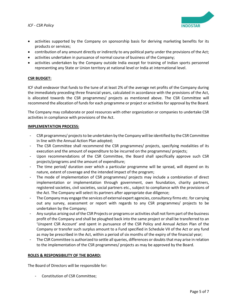

- activities supported by the Company on sponsorship basis for deriving marketing benefits for its products or services;
- contribution of any amount directly or indirectly to any political party under the provisions of the Act;
- activities undertaken in pursuance of normal course of business of the Company;
- activities undertaken by the Company outside India except for training of Indian sports personnel representing any State or Union territory at national level or India at international level.

# **CSR BUDGET:**

ICF shall endeavor that funds to the tune of at least 2% of the average net profits of the Company during the immediately preceding three financial years, calculated in accordance with the provisions of the Act, is allocated towards the CSR programmes/ projects as mentioned above. The CSR Committee will recommend the allocation of funds for each programme or project or activities for approval by the Board.

The Company may collaborate or pool resources with other organization or companies to undertake CSR activities in compliance with provisions of the Act.

## **IMPLEMENTATION PROCESS:**

- CSR programmes/ projectsto be undertaken by the Company will be identified by the CSR Committee in line with the Annual Action Plan adopted;
- The CSR Committee shall recommend the CSR programmes/ projects, specifying modalities of its execution and the amount of expenditure to be incurred on the programmes/ projects;
- Upon recommendations of the CSR Committee, the Board shall specifically approve such CSR projects/programs and the amount of expenditure;
- The time period/ duration over which a particular programme will be spread, will depend on its nature, extent of coverage and the intended impact of the program;
- The mode of implementation of CSR programmes/ projects may include a combination of direct implementation or implementation through government, own foundation, charity partners, registered societies, civil societies, social partners etc., subject to compliance with the provisions of the Act. The Company will select its partners after appropriate due diligence;
- The Company may engage the services of external expert agencies, consultancy firms etc. for carrying out any survey, assessment or report with regards to any CSR programmes/ projects to be undertaken by the Company;
- Any surplus arising out of the CSR Projects or programs or activities shall not form part of the business profit of the Company and shall be ploughed back into the same project or shall be transferred to an 'Unspent CSR Account' and spent in pursuance of the CSR Policy and Annual Action Plan of the Company or transfer such surplus amount to a Fund specified in Schedule VII of the Act or any fund as may be prescribed in the Act, within a period of six months of the expiry of the financial year;
- The CSR Committee is authorized to settle all queries, differences or doubts that may arise in relation to the implementation of the CSR programmes/ projects as may be approved by the Board.

## **ROLES & RESPONSIBILITY OF THE BOARD:**

The Board of Directors will be responsible for:

- Constitution of CSR Committee;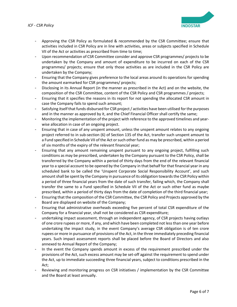

- Approving the CSR Policy as formulated & recommended by the CSR Committee; ensure that activities included in CSR Policy are in line with activities, areas or subjects specified in Schedule VII of the Act or activities as prescribed from time to time;
- Upon recommendation of CSR Committee consider and approve CSR programmes/ projects to be undertaken by the Company and amount of expenditure to be incurred on each of the CSR programmes/ projects; ensure that only those activities as are included in the CSR Policy are undertaken by the Company;
- Ensuring that the Company gives preference to the local areas around its operations for spending the amount earmarked for CSR programmes/ projects;
- Disclosing in its Annual Report (in the manner as prescribed in the Act) and on the website, the composition of the CSR Committee, content of the CSR Policy and CSR programmes / projects;
- Ensuring that it specifies the reasons in its report for not spending the allocated CSR amount in case the Company fails to spend such amount;
- Satisfying itself that funds disbursed for CSR project / activities have been utilised for the purposes and in the manner as approved by it, and the Chief Financial Officer shall certify the same;
- Monitoring the implementation of the project with reference to the approved timelines and yearwise allocation in case of an ongoing project.
- Ensuring that in case of any unspent amount, unless the unspent amount relates to any ongoing project referred to in sub-section (6) of Section 135 of the Act, transfer such unspent amount to a Fund specified in Schedule VII of the Act or such other fund as may be prescribed, within a period of six months of the expiry of the relevant financial year;
- Ensuring that any amount remaining unspent pursuant to any ongoing project, fulfilling such conditions as may be prescribed, undertaken by the Company pursuant to the CSR Policy, shall be transferred by the Company within a period of thirty days from the end of the relevant financial year to a special account to be opened by the Company in that behalf for that financial year in any scheduled bank to be called the 'Unspent Corporate Social Responsibility Account', and such amount shall be spent by the Company in pursuance of its obligation towards the CSR Policy within a period of three financial years from the date of such transfer, failing which, the Company shall transfer the same to a Fund specified in Schedule VII of the Act or such other fund as maybe prescribed, within a period of thirty days from the date of completion of the third financial year;
- Ensuring that the composition of the CSR Committee, the CSR Policy and Projects approved by the Board are displayed on website of the Company;
- Ensuring that administrative overheads exceeding five percent of total CSR expenditure of the Company for a financial year, shall not be considered as CSR expenditure;
- undertaking impact assessment, through an independent agency, of CSR projects having outlays of one crore rupees or more, if any, and which have been completed not less than one year before undertaking the impact study, in the event Company's average CSR obligation is of ten crore rupees or more in pursuance of provisions of the Act, in the three immediately preceding financial years. Such impact assessment reports shall be placed before the Board of Directors and also annexed to Annual Report of the Company;
- In the event the Company spends amount in excess of the requirement prescribed under the provisions of the Act, such excess amount may be set-off against the requirement to spend under the Act, up to immediate succeeding three financial years, subject to conditions prescribed in the Act;
- Reviewing and monitoring progress on CSR initiatives / implementation by the CSR Committee and the Board at least annually.